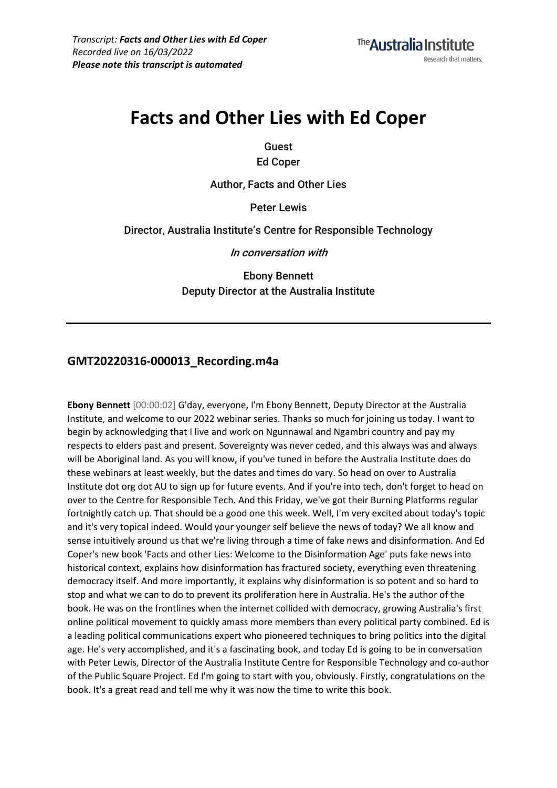# **Facts and Other Lies with Ed Coper**

**Guest**

**Ed Coper**

**Author, Facts and Other Lies**

**Peter Lewis**

**Director, Australia Institute's Centre for Responsible Technology**

**In conversation with**

**Ebony Bennett Deputy Director at the Australia Institute**

## **GMT20220316-000013\_Recording.m4a**

**Ebony Bennett** [00:00:02] G'day, everyone, I'm Ebony Bennett, Deputy Director at the Australia Institute, and welcome to our 2022 webinar series. Thanks so much for joining us today. I want to begin by acknowledging that I live and work on Ngunnawal and Ngambri country and pay my respects to elders past and present. Sovereignty was never ceded, and this always was and always will be Aboriginal land. As you will know, if you've tuned in before the Australia Institute does do these webinars at least weekly, but the dates and times do vary. So head on over to Australia Institute dot org dot AU to sign up for future events. And if you're into tech, don't forget to head on over to the Centre for Responsible Tech. And this Friday, we've got their Burning Platforms regular fortnightly catch up. That should be a good one this week. Well, I'm very excited about today's topic and it's very topical indeed. Would your younger self believe the news of today? We all know and sense intuitively around us that we're living through a time of fake news and disinformation. And Ed Coper's new book 'Facts and other Lies: Welcome to the Disinformation Age' puts fake news into historical context, explains how disinformation has fractured society, everything even threatening democracy itself. And more importantly, it explains why disinformation is so potent and so hard to stop and what we can to do to prevent its proliferation here in Australia. He's the author of the book. He was on the frontlines when the internet collided with democracy, growing Australia's first online political movement to quickly amass more members than every political party combined. Ed is a leading political communications expert who pioneered techniques to bring politics into the digital age. He's very accomplished, and it's a fascinating book, and today Ed is going to be in conversation with Peter Lewis, Director of the Australia Institute Centre for Responsible Technology and co-author of the Public Square Project. Ed I'm going to start with you, obviously. Firstly, congratulations on the book. It's a great read and tell me why it was now the time to write this book.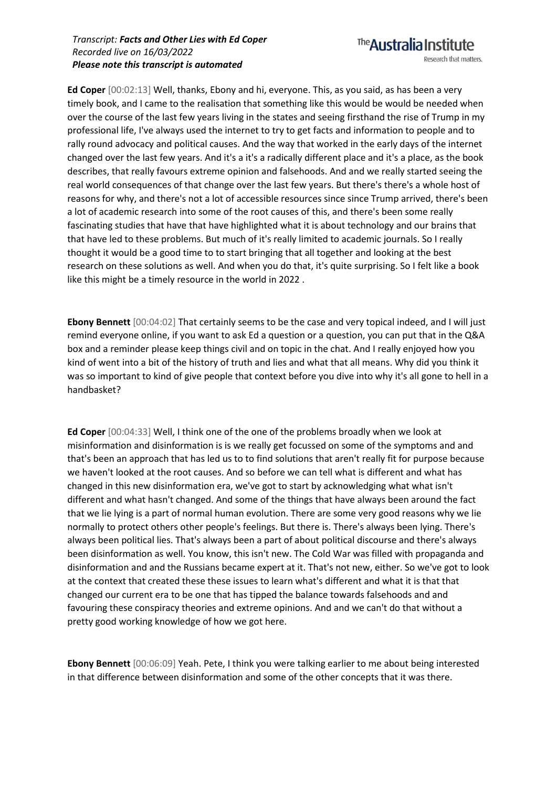**Ed Coper** [00:02:13] Well, thanks, Ebony and hi, everyone. This, as you said, as has been a very timely book, and I came to the realisation that something like this would be would be needed when over the course of the last few years living in the states and seeing firsthand the rise of Trump in my professional life, I've always used the internet to try to get facts and information to people and to rally round advocacy and political causes. And the way that worked in the early days of the internet changed over the last few years. And it's a it's a radically different place and it's a place, as the book describes, that really favours extreme opinion and falsehoods. And and we really started seeing the real world consequences of that change over the last few years. But there's there's a whole host of reasons for why, and there's not a lot of accessible resources since since Trump arrived, there's been a lot of academic research into some of the root causes of this, and there's been some really fascinating studies that have that have highlighted what it is about technology and our brains that that have led to these problems. But much of it's really limited to academic journals. So I really thought it would be a good time to to start bringing that all together and looking at the best research on these solutions as well. And when you do that, it's quite surprising. So I felt like a book like this might be a timely resource in the world in 2022 .

**Ebony Bennett** [00:04:02] That certainly seems to be the case and very topical indeed, and I will just remind everyone online, if you want to ask Ed a question or a question, you can put that in the Q&A box and a reminder please keep things civil and on topic in the chat. And I really enjoyed how you kind of went into a bit of the history of truth and lies and what that all means. Why did you think it was so important to kind of give people that context before you dive into why it's all gone to hell in a handbasket?

**Ed Coper** [00:04:33] Well, I think one of the one of the problems broadly when we look at misinformation and disinformation is is we really get focussed on some of the symptoms and and that's been an approach that has led us to to find solutions that aren't really fit for purpose because we haven't looked at the root causes. And so before we can tell what is different and what has changed in this new disinformation era, we've got to start by acknowledging what what isn't different and what hasn't changed. And some of the things that have always been around the fact that we lie lying is a part of normal human evolution. There are some very good reasons why we lie normally to protect others other people's feelings. But there is. There's always been lying. There's always been political lies. That's always been a part of about political discourse and there's always been disinformation as well. You know, this isn't new. The Cold War was filled with propaganda and disinformation and and the Russians became expert at it. That's not new, either. So we've got to look at the context that created these these issues to learn what's different and what it is that that changed our current era to be one that has tipped the balance towards falsehoods and and favouring these conspiracy theories and extreme opinions. And and we can't do that without a pretty good working knowledge of how we got here.

**Ebony Bennett** [00:06:09] Yeah. Pete, I think you were talking earlier to me about being interested in that difference between disinformation and some of the other concepts that it was there.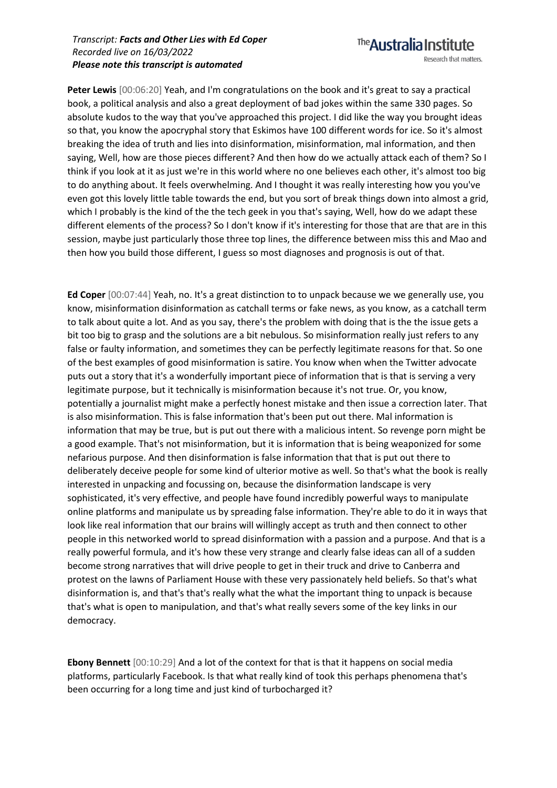**Peter Lewis** [00:06:20] Yeah, and I'm congratulations on the book and it's great to say a practical book, a political analysis and also a great deployment of bad jokes within the same 330 pages. So absolute kudos to the way that you've approached this project. I did like the way you brought ideas so that, you know the apocryphal story that Eskimos have 100 different words for ice. So it's almost breaking the idea of truth and lies into disinformation, misinformation, mal information, and then saying, Well, how are those pieces different? And then how do we actually attack each of them? So I think if you look at it as just we're in this world where no one believes each other, it's almost too big to do anything about. It feels overwhelming. And I thought it was really interesting how you you've even got this lovely little table towards the end, but you sort of break things down into almost a grid, which I probably is the kind of the the tech geek in you that's saying, Well, how do we adapt these different elements of the process? So I don't know if it's interesting for those that are that are in this session, maybe just particularly those three top lines, the difference between miss this and Mao and then how you build those different, I guess so most diagnoses and prognosis is out of that.

**Ed Coper** [00:07:44] Yeah, no. It's a great distinction to to unpack because we we generally use, you know, misinformation disinformation as catchall terms or fake news, as you know, as a catchall term to talk about quite a lot. And as you say, there's the problem with doing that is the the issue gets a bit too big to grasp and the solutions are a bit nebulous. So misinformation really just refers to any false or faulty information, and sometimes they can be perfectly legitimate reasons for that. So one of the best examples of good misinformation is satire. You know when when the Twitter advocate puts out a story that it's a wonderfully important piece of information that is that is serving a very legitimate purpose, but it technically is misinformation because it's not true. Or, you know, potentially a journalist might make a perfectly honest mistake and then issue a correction later. That is also misinformation. This is false information that's been put out there. Mal information is information that may be true, but is put out there with a malicious intent. So revenge porn might be a good example. That's not misinformation, but it is information that is being weaponized for some nefarious purpose. And then disinformation is false information that that is put out there to deliberately deceive people for some kind of ulterior motive as well. So that's what the book is really interested in unpacking and focussing on, because the disinformation landscape is very sophisticated, it's very effective, and people have found incredibly powerful ways to manipulate online platforms and manipulate us by spreading false information. They're able to do it in ways that look like real information that our brains will willingly accept as truth and then connect to other people in this networked world to spread disinformation with a passion and a purpose. And that is a really powerful formula, and it's how these very strange and clearly false ideas can all of a sudden become strong narratives that will drive people to get in their truck and drive to Canberra and protest on the lawns of Parliament House with these very passionately held beliefs. So that's what disinformation is, and that's that's really what the what the important thing to unpack is because that's what is open to manipulation, and that's what really severs some of the key links in our democracy.

**Ebony Bennett** [00:10:29] And a lot of the context for that is that it happens on social media platforms, particularly Facebook. Is that what really kind of took this perhaps phenomena that's been occurring for a long time and just kind of turbocharged it?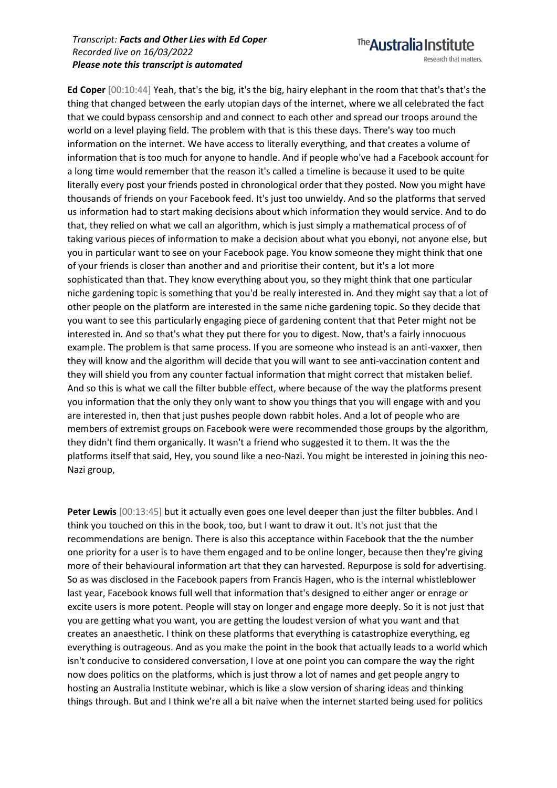The Australia Institute Research that matters.

**Ed Coper** [00:10:44] Yeah, that's the big, it's the big, hairy elephant in the room that that's that's the thing that changed between the early utopian days of the internet, where we all celebrated the fact that we could bypass censorship and and connect to each other and spread our troops around the world on a level playing field. The problem with that is this these days. There's way too much information on the internet. We have access to literally everything, and that creates a volume of information that is too much for anyone to handle. And if people who've had a Facebook account for a long time would remember that the reason it's called a timeline is because it used to be quite literally every post your friends posted in chronological order that they posted. Now you might have thousands of friends on your Facebook feed. It's just too unwieldy. And so the platforms that served us information had to start making decisions about which information they would service. And to do that, they relied on what we call an algorithm, which is just simply a mathematical process of of taking various pieces of information to make a decision about what you ebonyi, not anyone else, but you in particular want to see on your Facebook page. You know someone they might think that one of your friends is closer than another and and prioritise their content, but it's a lot more sophisticated than that. They know everything about you, so they might think that one particular niche gardening topic is something that you'd be really interested in. And they might say that a lot of other people on the platform are interested in the same niche gardening topic. So they decide that you want to see this particularly engaging piece of gardening content that that Peter might not be interested in. And so that's what they put there for you to digest. Now, that's a fairly innocuous example. The problem is that same process. If you are someone who instead is an anti-vaxxer, then they will know and the algorithm will decide that you will want to see anti-vaccination content and they will shield you from any counter factual information that might correct that mistaken belief. And so this is what we call the filter bubble effect, where because of the way the platforms present you information that the only they only want to show you things that you will engage with and you are interested in, then that just pushes people down rabbit holes. And a lot of people who are members of extremist groups on Facebook were were recommended those groups by the algorithm, they didn't find them organically. It wasn't a friend who suggested it to them. It was the the platforms itself that said, Hey, you sound like a neo-Nazi. You might be interested in joining this neo-Nazi group,

**Peter Lewis** [00:13:45] but it actually even goes one level deeper than just the filter bubbles. And I think you touched on this in the book, too, but I want to draw it out. It's not just that the recommendations are benign. There is also this acceptance within Facebook that the the number one priority for a user is to have them engaged and to be online longer, because then they're giving more of their behavioural information art that they can harvested. Repurpose is sold for advertising. So as was disclosed in the Facebook papers from Francis Hagen, who is the internal whistleblower last year, Facebook knows full well that information that's designed to either anger or enrage or excite users is more potent. People will stay on longer and engage more deeply. So it is not just that you are getting what you want, you are getting the loudest version of what you want and that creates an anaesthetic. I think on these platforms that everything is catastrophize everything, eg everything is outrageous. And as you make the point in the book that actually leads to a world which isn't conducive to considered conversation, I love at one point you can compare the way the right now does politics on the platforms, which is just throw a lot of names and get people angry to hosting an Australia Institute webinar, which is like a slow version of sharing ideas and thinking things through. But and I think we're all a bit naive when the internet started being used for politics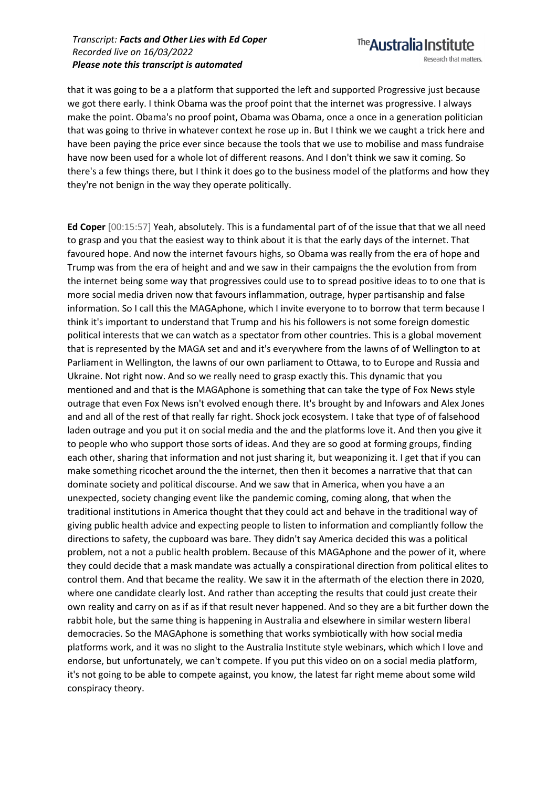that it was going to be a a platform that supported the left and supported Progressive just because we got there early. I think Obama was the proof point that the internet was progressive. I always make the point. Obama's no proof point, Obama was Obama, once a once in a generation politician that was going to thrive in whatever context he rose up in. But I think we we caught a trick here and have been paying the price ever since because the tools that we use to mobilise and mass fundraise have now been used for a whole lot of different reasons. And I don't think we saw it coming. So there's a few things there, but I think it does go to the business model of the platforms and how they they're not benign in the way they operate politically.

**Ed Coper** [00:15:57] Yeah, absolutely. This is a fundamental part of of the issue that that we all need to grasp and you that the easiest way to think about it is that the early days of the internet. That favoured hope. And now the internet favours highs, so Obama was really from the era of hope and Trump was from the era of height and and we saw in their campaigns the the evolution from from the internet being some way that progressives could use to to spread positive ideas to to one that is more social media driven now that favours inflammation, outrage, hyper partisanship and false information. So I call this the MAGAphone, which I invite everyone to to borrow that term because I think it's important to understand that Trump and his his followers is not some foreign domestic political interests that we can watch as a spectator from other countries. This is a global movement that is represented by the MAGA set and and it's everywhere from the lawns of of Wellington to at Parliament in Wellington, the lawns of our own parliament to Ottawa, to to Europe and Russia and Ukraine. Not right now. And so we really need to grasp exactly this. This dynamic that you mentioned and and that is the MAGAphone is something that can take the type of Fox News style outrage that even Fox News isn't evolved enough there. It's brought by and Infowars and Alex Jones and and all of the rest of that really far right. Shock jock ecosystem. I take that type of of falsehood laden outrage and you put it on social media and the and the platforms love it. And then you give it to people who who support those sorts of ideas. And they are so good at forming groups, finding each other, sharing that information and not just sharing it, but weaponizing it. I get that if you can make something ricochet around the the internet, then then it becomes a narrative that that can dominate society and political discourse. And we saw that in America, when you have a an unexpected, society changing event like the pandemic coming, coming along, that when the traditional institutions in America thought that they could act and behave in the traditional way of giving public health advice and expecting people to listen to information and compliantly follow the directions to safety, the cupboard was bare. They didn't say America decided this was a political problem, not a not a public health problem. Because of this MAGAphone and the power of it, where they could decide that a mask mandate was actually a conspirational direction from political elites to control them. And that became the reality. We saw it in the aftermath of the election there in 2020, where one candidate clearly lost. And rather than accepting the results that could just create their own reality and carry on as if as if that result never happened. And so they are a bit further down the rabbit hole, but the same thing is happening in Australia and elsewhere in similar western liberal democracies. So the MAGAphone is something that works symbiotically with how social media platforms work, and it was no slight to the Australia Institute style webinars, which which I love and endorse, but unfortunately, we can't compete. If you put this video on on a social media platform, it's not going to be able to compete against, you know, the latest far right meme about some wild conspiracy theory.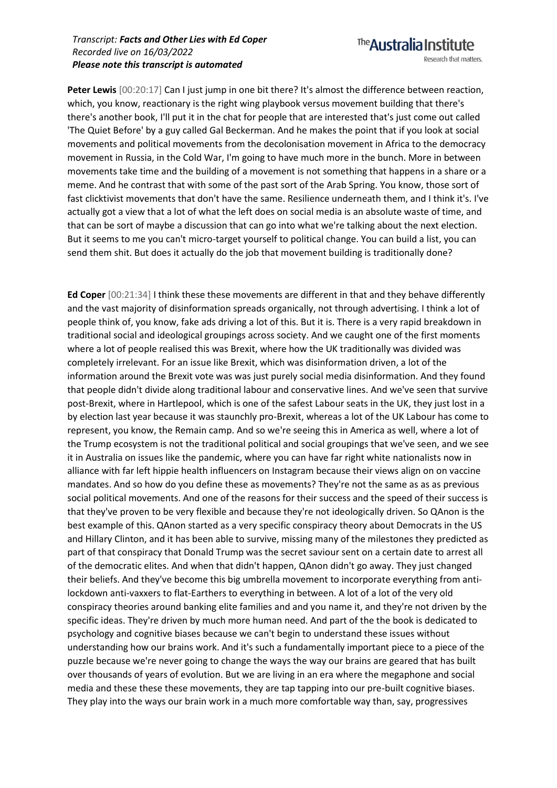Peter Lewis  $[00:20:17]$  Can I just jump in one bit there? It's almost the difference between reaction, which, you know, reactionary is the right wing playbook versus movement building that there's there's another book, I'll put it in the chat for people that are interested that's just come out called 'The Quiet Before' by a guy called Gal Beckerman. And he makes the point that if you look at social movements and political movements from the decolonisation movement in Africa to the democracy movement in Russia, in the Cold War, I'm going to have much more in the bunch. More in between movements take time and the building of a movement is not something that happens in a share or a meme. And he contrast that with some of the past sort of the Arab Spring. You know, those sort of fast clicktivist movements that don't have the same. Resilience underneath them, and I think it's. I've actually got a view that a lot of what the left does on social media is an absolute waste of time, and that can be sort of maybe a discussion that can go into what we're talking about the next election. But it seems to me you can't micro-target yourself to political change. You can build a list, you can send them shit. But does it actually do the job that movement building is traditionally done?

**Ed Coper** [00:21:34] I think these these movements are different in that and they behave differently and the vast majority of disinformation spreads organically, not through advertising. I think a lot of people think of, you know, fake ads driving a lot of this. But it is. There is a very rapid breakdown in traditional social and ideological groupings across society. And we caught one of the first moments where a lot of people realised this was Brexit, where how the UK traditionally was divided was completely irrelevant. For an issue like Brexit, which was disinformation driven, a lot of the information around the Brexit vote was was just purely social media disinformation. And they found that people didn't divide along traditional labour and conservative lines. And we've seen that survive post-Brexit, where in Hartlepool, which is one of the safest Labour seats in the UK, they just lost in a by election last year because it was staunchly pro-Brexit, whereas a lot of the UK Labour has come to represent, you know, the Remain camp. And so we're seeing this in America as well, where a lot of the Trump ecosystem is not the traditional political and social groupings that we've seen, and we see it in Australia on issues like the pandemic, where you can have far right white nationalists now in alliance with far left hippie health influencers on Instagram because their views align on on vaccine mandates. And so how do you define these as movements? They're not the same as as as previous social political movements. And one of the reasons for their success and the speed of their success is that they've proven to be very flexible and because they're not ideologically driven. So QAnon is the best example of this. QAnon started as a very specific conspiracy theory about Democrats in the US and Hillary Clinton, and it has been able to survive, missing many of the milestones they predicted as part of that conspiracy that Donald Trump was the secret saviour sent on a certain date to arrest all of the democratic elites. And when that didn't happen, QAnon didn't go away. They just changed their beliefs. And they've become this big umbrella movement to incorporate everything from antilockdown anti-vaxxers to flat-Earthers to everything in between. A lot of a lot of the very old conspiracy theories around banking elite families and and you name it, and they're not driven by the specific ideas. They're driven by much more human need. And part of the the book is dedicated to psychology and cognitive biases because we can't begin to understand these issues without understanding how our brains work. And it's such a fundamentally important piece to a piece of the puzzle because we're never going to change the ways the way our brains are geared that has built over thousands of years of evolution. But we are living in an era where the megaphone and social media and these these these movements, they are tap tapping into our pre-built cognitive biases. They play into the ways our brain work in a much more comfortable way than, say, progressives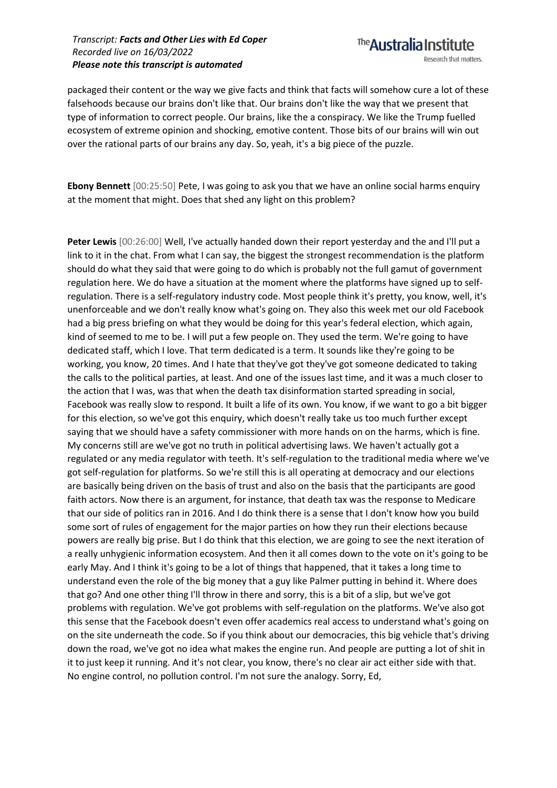The **Australia Institute** Research that matters.

packaged their content or the way we give facts and think that facts will somehow cure a lot of these falsehoods because our brains don't like that. Our brains don't like the way that we present that type of information to correct people. Our brains, like the a conspiracy. We like the Trump fuelled ecosystem of extreme opinion and shocking, emotive content. Those bits of our brains will win out over the rational parts of our brains any day. So, yeah, it's a big piece of the puzzle.

**Ebony Bennett** [00:25:50] Pete, I was going to ask you that we have an online social harms enquiry at the moment that might. Does that shed any light on this problem?

**Peter Lewis** [00:26:00] Well, I've actually handed down their report yesterday and the and I'll put a link to it in the chat. From what I can say, the biggest the strongest recommendation is the platform should do what they said that were going to do which is probably not the full gamut of government regulation here. We do have a situation at the moment where the platforms have signed up to selfregulation. There is a self-regulatory industry code. Most people think it's pretty, you know, well, it's unenforceable and we don't really know what's going on. They also this week met our old Facebook had a big press briefing on what they would be doing for this year's federal election, which again, kind of seemed to me to be. I will put a few people on. They used the term. We're going to have dedicated staff, which I love. That term dedicated is a term. It sounds like they're going to be working, you know, 20 times. And I hate that they've got they've got someone dedicated to taking the calls to the political parties, at least. And one of the issues last time, and it was a much closer to the action that I was, was that when the death tax disinformation started spreading in social, Facebook was really slow to respond. It built a life of its own. You know, if we want to go a bit bigger for this election, so we've got this enquiry, which doesn't really take us too much further except saying that we should have a safety commissioner with more hands on on the harms, which is fine. My concerns still are we've got no truth in political advertising laws. We haven't actually got a regulated or any media regulator with teeth. It's self-regulation to the traditional media where we've got self-regulation for platforms. So we're still this is all operating at democracy and our elections are basically being driven on the basis of trust and also on the basis that the participants are good faith actors. Now there is an argument, for instance, that death tax was the response to Medicare that our side of politics ran in 2016. And I do think there is a sense that I don't know how you build some sort of rules of engagement for the major parties on how they run their elections because powers are really big prise. But I do think that this election, we are going to see the next iteration of a really unhygienic information ecosystem. And then it all comes down to the vote on it's going to be early May. And I think it's going to be a lot of things that happened, that it takes a long time to understand even the role of the big money that a guy like Palmer putting in behind it. Where does that go? And one other thing I'll throw in there and sorry, this is a bit of a slip, but we've got problems with regulation. We've got problems with self-regulation on the platforms. We've also got this sense that the Facebook doesn't even offer academics real access to understand what's going on on the site underneath the code. So if you think about our democracies, this big vehicle that's driving down the road, we've got no idea what makes the engine run. And people are putting a lot of shit in it to just keep it running. And it's not clear, you know, there's no clear air act either side with that. No engine control, no pollution control. I'm not sure the analogy. Sorry, Ed,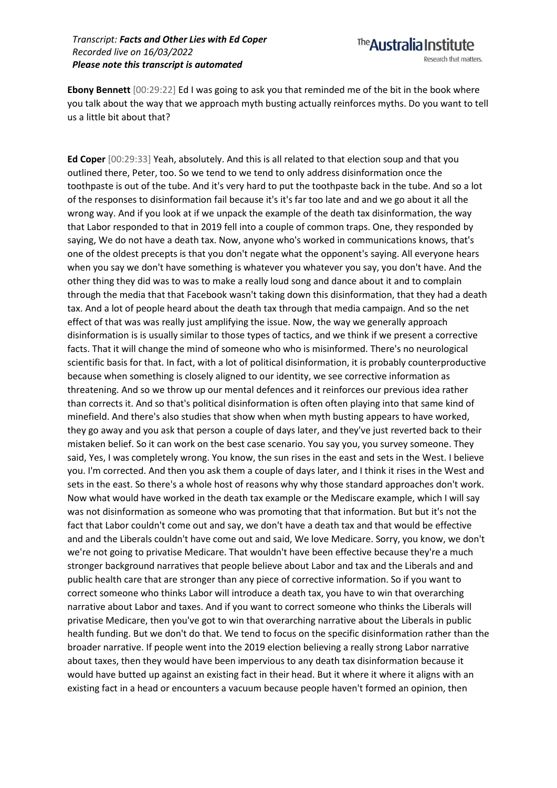

**Ebony Bennett** [00:29:22] Ed I was going to ask you that reminded me of the bit in the book where you talk about the way that we approach myth busting actually reinforces myths. Do you want to tell us a little bit about that?

**Ed Coper** [00:29:33] Yeah, absolutely. And this is all related to that election soup and that you outlined there, Peter, too. So we tend to we tend to only address disinformation once the toothpaste is out of the tube. And it's very hard to put the toothpaste back in the tube. And so a lot of the responses to disinformation fail because it's it's far too late and and we go about it all the wrong way. And if you look at if we unpack the example of the death tax disinformation, the way that Labor responded to that in 2019 fell into a couple of common traps. One, they responded by saying, We do not have a death tax. Now, anyone who's worked in communications knows, that's one of the oldest precepts is that you don't negate what the opponent's saying. All everyone hears when you say we don't have something is whatever you whatever you say, you don't have. And the other thing they did was to was to make a really loud song and dance about it and to complain through the media that that Facebook wasn't taking down this disinformation, that they had a death tax. And a lot of people heard about the death tax through that media campaign. And so the net effect of that was was really just amplifying the issue. Now, the way we generally approach disinformation is is usually similar to those types of tactics, and we think if we present a corrective facts. That it will change the mind of someone who who is misinformed. There's no neurological scientific basis for that. In fact, with a lot of political disinformation, it is probably counterproductive because when something is closely aligned to our identity, we see corrective information as threatening. And so we throw up our mental defences and it reinforces our previous idea rather than corrects it. And so that's political disinformation is often often playing into that same kind of minefield. And there's also studies that show when when myth busting appears to have worked, they go away and you ask that person a couple of days later, and they've just reverted back to their mistaken belief. So it can work on the best case scenario. You say you, you survey someone. They said, Yes, I was completely wrong. You know, the sun rises in the east and sets in the West. I believe you. I'm corrected. And then you ask them a couple of days later, and I think it rises in the West and sets in the east. So there's a whole host of reasons why why those standard approaches don't work. Now what would have worked in the death tax example or the Mediscare example, which I will say was not disinformation as someone who was promoting that that information. But but it's not the fact that Labor couldn't come out and say, we don't have a death tax and that would be effective and and the Liberals couldn't have come out and said, We love Medicare. Sorry, you know, we don't we're not going to privatise Medicare. That wouldn't have been effective because they're a much stronger background narratives that people believe about Labor and tax and the Liberals and and public health care that are stronger than any piece of corrective information. So if you want to correct someone who thinks Labor will introduce a death tax, you have to win that overarching narrative about Labor and taxes. And if you want to correct someone who thinks the Liberals will privatise Medicare, then you've got to win that overarching narrative about the Liberals in public health funding. But we don't do that. We tend to focus on the specific disinformation rather than the broader narrative. If people went into the 2019 election believing a really strong Labor narrative about taxes, then they would have been impervious to any death tax disinformation because it would have butted up against an existing fact in their head. But it where it where it aligns with an existing fact in a head or encounters a vacuum because people haven't formed an opinion, then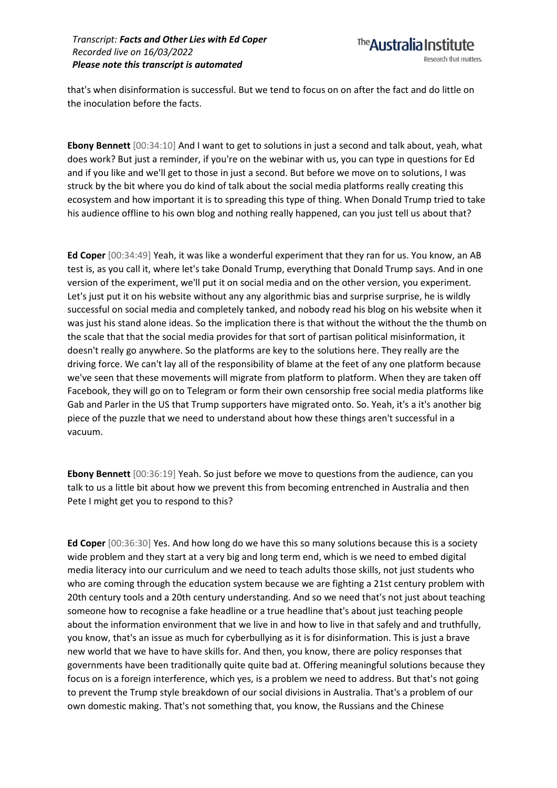that's when disinformation is successful. But we tend to focus on on after the fact and do little on the inoculation before the facts.

**Ebony Bennett** [00:34:10] And I want to get to solutions in just a second and talk about, yeah, what does work? But just a reminder, if you're on the webinar with us, you can type in questions for Ed and if you like and we'll get to those in just a second. But before we move on to solutions, I was struck by the bit where you do kind of talk about the social media platforms really creating this ecosystem and how important it is to spreading this type of thing. When Donald Trump tried to take his audience offline to his own blog and nothing really happened, can you just tell us about that?

**Ed Coper** [00:34:49] Yeah, it was like a wonderful experiment that they ran for us. You know, an AB test is, as you call it, where let's take Donald Trump, everything that Donald Trump says. And in one version of the experiment, we'll put it on social media and on the other version, you experiment. Let's just put it on his website without any any algorithmic bias and surprise surprise, he is wildly successful on social media and completely tanked, and nobody read his blog on his website when it was just his stand alone ideas. So the implication there is that without the without the the thumb on the scale that that the social media provides for that sort of partisan political misinformation, it doesn't really go anywhere. So the platforms are key to the solutions here. They really are the driving force. We can't lay all of the responsibility of blame at the feet of any one platform because we've seen that these movements will migrate from platform to platform. When they are taken off Facebook, they will go on to Telegram or form their own censorship free social media platforms like Gab and Parler in the US that Trump supporters have migrated onto. So. Yeah, it's a it's another big piece of the puzzle that we need to understand about how these things aren't successful in a vacuum.

**Ebony Bennett** [00:36:19] Yeah. So just before we move to questions from the audience, can you talk to us a little bit about how we prevent this from becoming entrenched in Australia and then Pete I might get you to respond to this?

**Ed Coper** [00:36:30] Yes. And how long do we have this so many solutions because this is a society wide problem and they start at a very big and long term end, which is we need to embed digital media literacy into our curriculum and we need to teach adults those skills, not just students who who are coming through the education system because we are fighting a 21st century problem with 20th century tools and a 20th century understanding. And so we need that's not just about teaching someone how to recognise a fake headline or a true headline that's about just teaching people about the information environment that we live in and how to live in that safely and and truthfully, you know, that's an issue as much for cyberbullying as it is for disinformation. This is just a brave new world that we have to have skills for. And then, you know, there are policy responses that governments have been traditionally quite quite bad at. Offering meaningful solutions because they focus on is a foreign interference, which yes, is a problem we need to address. But that's not going to prevent the Trump style breakdown of our social divisions in Australia. That's a problem of our own domestic making. That's not something that, you know, the Russians and the Chinese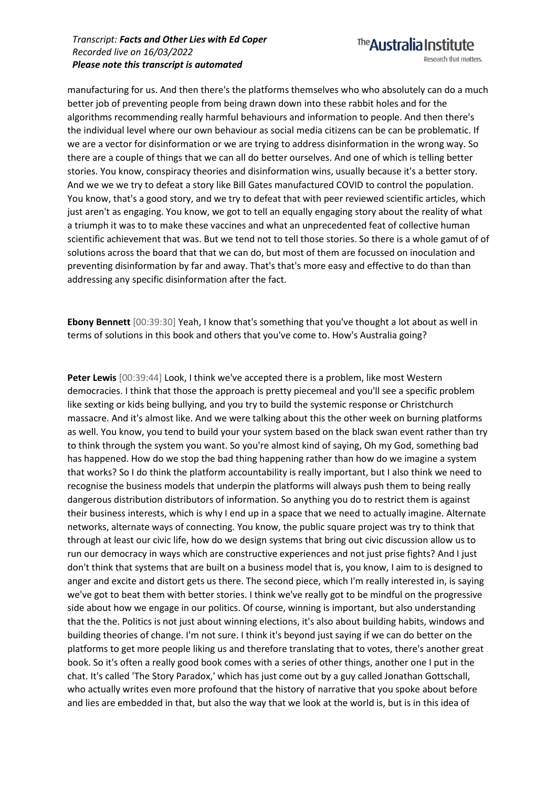### The **Australia Institute** Research that matters.

manufacturing for us. And then there's the platforms themselves who who absolutely can do a much better job of preventing people from being drawn down into these rabbit holes and for the algorithms recommending really harmful behaviours and information to people. And then there's the individual level where our own behaviour as social media citizens can be can be problematic. If we are a vector for disinformation or we are trying to address disinformation in the wrong way. So there are a couple of things that we can all do better ourselves. And one of which is telling better stories. You know, conspiracy theories and disinformation wins, usually because it's a better story. And we we we try to defeat a story like Bill Gates manufactured COVID to control the population. You know, that's a good story, and we try to defeat that with peer reviewed scientific articles, which just aren't as engaging. You know, we got to tell an equally engaging story about the reality of what a triumph it was to to make these vaccines and what an unprecedented feat of collective human scientific achievement that was. But we tend not to tell those stories. So there is a whole gamut of of solutions across the board that that we can do, but most of them are focussed on inoculation and preventing disinformation by far and away. That's that's more easy and effective to do than than addressing any specific disinformation after the fact.

**Ebony Bennett** [00:39:30] Yeah, I know that's something that you've thought a lot about as well in terms of solutions in this book and others that you've come to. How's Australia going?

Peter Lewis [00:39:44] Look, I think we've accepted there is a problem, like most Western democracies. I think that those the approach is pretty piecemeal and you'll see a specific problem like sexting or kids being bullying, and you try to build the systemic response or Christchurch massacre. And it's almost like. And we were talking about this the other week on burning platforms as well. You know, you tend to build your your system based on the black swan event rather than try to think through the system you want. So you're almost kind of saying, Oh my God, something bad has happened. How do we stop the bad thing happening rather than how do we imagine a system that works? So I do think the platform accountability is really important, but I also think we need to recognise the business models that underpin the platforms will always push them to being really dangerous distribution distributors of information. So anything you do to restrict them is against their business interests, which is why I end up in a space that we need to actually imagine. Alternate networks, alternate ways of connecting. You know, the public square project was try to think that through at least our civic life, how do we design systems that bring out civic discussion allow us to run our democracy in ways which are constructive experiences and not just prise fights? And I just don't think that systems that are built on a business model that is, you know, I aim to is designed to anger and excite and distort gets us there. The second piece, which I'm really interested in, is saying we've got to beat them with better stories. I think we've really got to be mindful on the progressive side about how we engage in our politics. Of course, winning is important, but also understanding that the the. Politics is not just about winning elections, it's also about building habits, windows and building theories of change. I'm not sure. I think it's beyond just saying if we can do better on the platforms to get more people liking us and therefore translating that to votes, there's another great book. So it's often a really good book comes with a series of other things, another one I put in the chat. It's called 'The Story Paradox,' which has just come out by a guy called Jonathan Gottschall, who actually writes even more profound that the history of narrative that you spoke about before and lies are embedded in that, but also the way that we look at the world is, but is in this idea of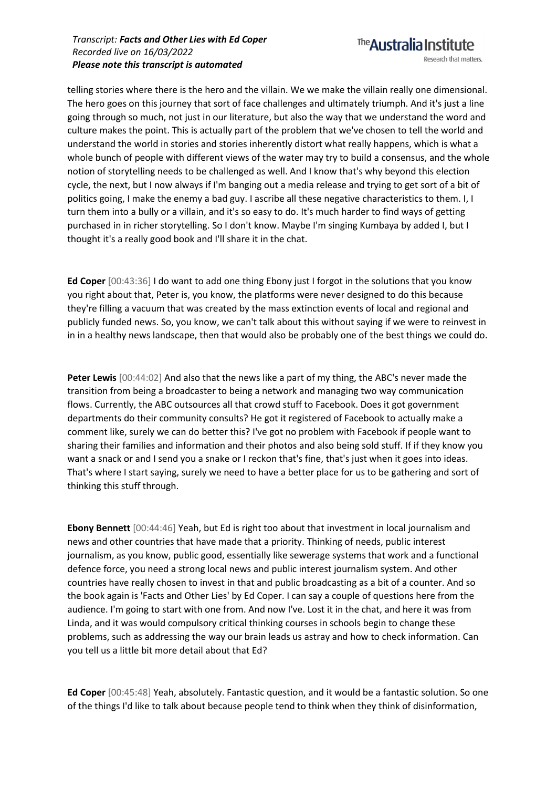telling stories where there is the hero and the villain. We we make the villain really one dimensional. The hero goes on this journey that sort of face challenges and ultimately triumph. And it's just a line going through so much, not just in our literature, but also the way that we understand the word and culture makes the point. This is actually part of the problem that we've chosen to tell the world and understand the world in stories and stories inherently distort what really happens, which is what a whole bunch of people with different views of the water may try to build a consensus, and the whole notion of storytelling needs to be challenged as well. And I know that's why beyond this election cycle, the next, but I now always if I'm banging out a media release and trying to get sort of a bit of politics going, I make the enemy a bad guy. I ascribe all these negative characteristics to them. I, I turn them into a bully or a villain, and it's so easy to do. It's much harder to find ways of getting purchased in in richer storytelling. So I don't know. Maybe I'm singing Kumbaya by added I, but I thought it's a really good book and I'll share it in the chat.

**Ed Coper** [00:43:36] I do want to add one thing Ebony just I forgot in the solutions that you know you right about that, Peter is, you know, the platforms were never designed to do this because they're filling a vacuum that was created by the mass extinction events of local and regional and publicly funded news. So, you know, we can't talk about this without saying if we were to reinvest in in in a healthy news landscape, then that would also be probably one of the best things we could do.

**Peter Lewis** [00:44:02] And also that the news like a part of my thing, the ABC's never made the transition from being a broadcaster to being a network and managing two way communication flows. Currently, the ABC outsources all that crowd stuff to Facebook. Does it got government departments do their community consults? He got it registered of Facebook to actually make a comment like, surely we can do better this? I've got no problem with Facebook if people want to sharing their families and information and their photos and also being sold stuff. If if they know you want a snack or and I send you a snake or I reckon that's fine, that's just when it goes into ideas. That's where I start saying, surely we need to have a better place for us to be gathering and sort of thinking this stuff through.

**Ebony Bennett** [00:44:46] Yeah, but Ed is right too about that investment in local journalism and news and other countries that have made that a priority. Thinking of needs, public interest journalism, as you know, public good, essentially like sewerage systems that work and a functional defence force, you need a strong local news and public interest journalism system. And other countries have really chosen to invest in that and public broadcasting as a bit of a counter. And so the book again is 'Facts and Other Lies' by Ed Coper. I can say a couple of questions here from the audience. I'm going to start with one from. And now I've. Lost it in the chat, and here it was from Linda, and it was would compulsory critical thinking courses in schools begin to change these problems, such as addressing the way our brain leads us astray and how to check information. Can you tell us a little bit more detail about that Ed?

**Ed Coper** [00:45:48] Yeah, absolutely. Fantastic question, and it would be a fantastic solution. So one of the things I'd like to talk about because people tend to think when they think of disinformation,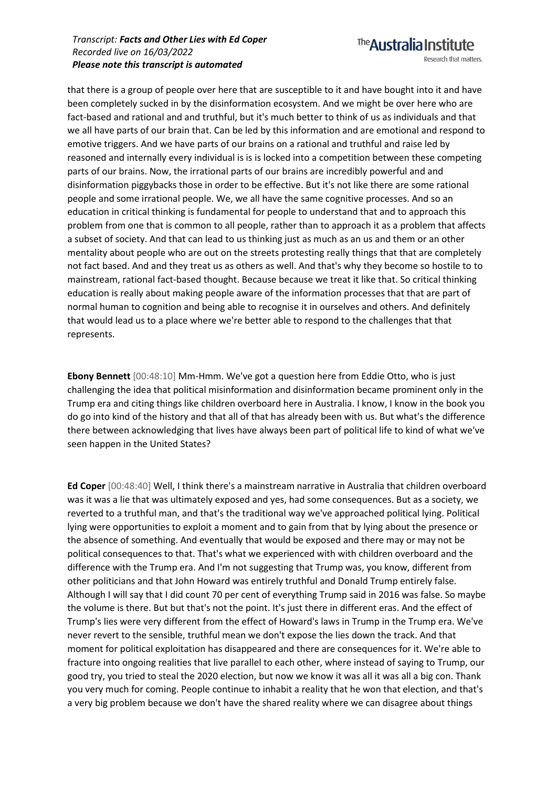that there is a group of people over here that are susceptible to it and have bought into it and have been completely sucked in by the disinformation ecosystem. And we might be over here who are fact-based and rational and and truthful, but it's much better to think of us as individuals and that we all have parts of our brain that. Can be led by this information and are emotional and respond to emotive triggers. And we have parts of our brains on a rational and truthful and raise led by reasoned and internally every individual is is is locked into a competition between these competing parts of our brains. Now, the irrational parts of our brains are incredibly powerful and and disinformation piggybacks those in order to be effective. But it's not like there are some rational people and some irrational people. We, we all have the same cognitive processes. And so an education in critical thinking is fundamental for people to understand that and to approach this problem from one that is common to all people, rather than to approach it as a problem that affects a subset of society. And that can lead to us thinking just as much as an us and them or an other mentality about people who are out on the streets protesting really things that that are completely not fact based. And and they treat us as others as well. And that's why they become so hostile to to mainstream, rational fact-based thought. Because because we treat it like that. So critical thinking education is really about making people aware of the information processes that that are part of normal human to cognition and being able to recognise it in ourselves and others. And definitely that would lead us to a place where we're better able to respond to the challenges that that represents.

**Ebony Bennett** [00:48:10] Mm-Hmm. We've got a question here from Eddie Otto, who is just challenging the idea that political misinformation and disinformation became prominent only in the Trump era and citing things like children overboard here in Australia. I know, I know in the book you do go into kind of the history and that all of that has already been with us. But what's the difference there between acknowledging that lives have always been part of political life to kind of what we've seen happen in the United States?

**Ed Coper** [00:48:40] Well, I think there's a mainstream narrative in Australia that children overboard was it was a lie that was ultimately exposed and yes, had some consequences. But as a society, we reverted to a truthful man, and that's the traditional way we've approached political lying. Political lying were opportunities to exploit a moment and to gain from that by lying about the presence or the absence of something. And eventually that would be exposed and there may or may not be political consequences to that. That's what we experienced with with children overboard and the difference with the Trump era. And I'm not suggesting that Trump was, you know, different from other politicians and that John Howard was entirely truthful and Donald Trump entirely false. Although I will say that I did count 70 per cent of everything Trump said in 2016 was false. So maybe the volume is there. But but that's not the point. It's just there in different eras. And the effect of Trump's lies were very different from the effect of Howard's laws in Trump in the Trump era. We've never revert to the sensible, truthful mean we don't expose the lies down the track. And that moment for political exploitation has disappeared and there are consequences for it. We're able to fracture into ongoing realities that live parallel to each other, where instead of saying to Trump, our good try, you tried to steal the 2020 election, but now we know it was all it was all a big con. Thank you very much for coming. People continue to inhabit a reality that he won that election, and that's a very big problem because we don't have the shared reality where we can disagree about things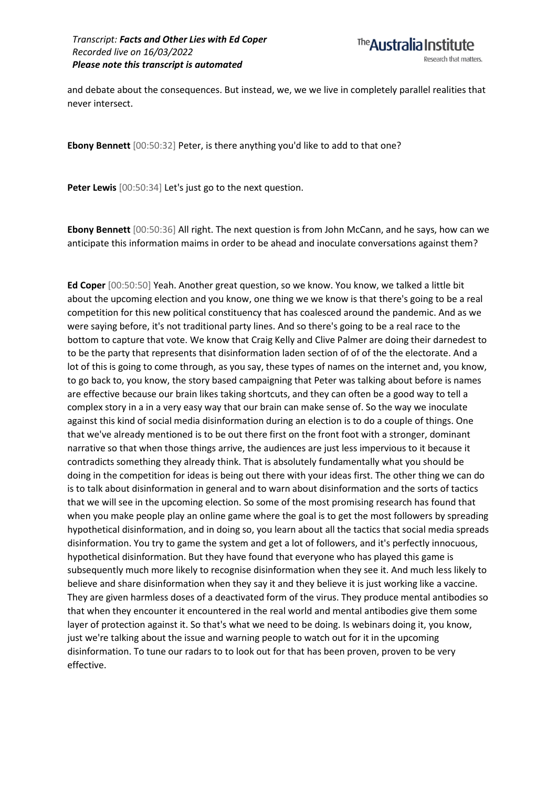The Australia Institute Research that matters.

and debate about the consequences. But instead, we, we we live in completely parallel realities that never intersect.

**Ebony Bennett** [00:50:32] Peter, is there anything you'd like to add to that one?

**Peter Lewis** [00:50:34] Let's just go to the next question.

**Ebony Bennett** [00:50:36] All right. The next question is from John McCann, and he says, how can we anticipate this information maims in order to be ahead and inoculate conversations against them?

**Ed Coper** [00:50:50] Yeah. Another great question, so we know. You know, we talked a little bit about the upcoming election and you know, one thing we we know is that there's going to be a real competition for this new political constituency that has coalesced around the pandemic. And as we were saying before, it's not traditional party lines. And so there's going to be a real race to the bottom to capture that vote. We know that Craig Kelly and Clive Palmer are doing their darnedest to to be the party that represents that disinformation laden section of of of the the electorate. And a lot of this is going to come through, as you say, these types of names on the internet and, you know, to go back to, you know, the story based campaigning that Peter was talking about before is names are effective because our brain likes taking shortcuts, and they can often be a good way to tell a complex story in a in a very easy way that our brain can make sense of. So the way we inoculate against this kind of social media disinformation during an election is to do a couple of things. One that we've already mentioned is to be out there first on the front foot with a stronger, dominant narrative so that when those things arrive, the audiences are just less impervious to it because it contradicts something they already think. That is absolutely fundamentally what you should be doing in the competition for ideas is being out there with your ideas first. The other thing we can do is to talk about disinformation in general and to warn about disinformation and the sorts of tactics that we will see in the upcoming election. So some of the most promising research has found that when you make people play an online game where the goal is to get the most followers by spreading hypothetical disinformation, and in doing so, you learn about all the tactics that social media spreads disinformation. You try to game the system and get a lot of followers, and it's perfectly innocuous, hypothetical disinformation. But they have found that everyone who has played this game is subsequently much more likely to recognise disinformation when they see it. And much less likely to believe and share disinformation when they say it and they believe it is just working like a vaccine. They are given harmless doses of a deactivated form of the virus. They produce mental antibodies so that when they encounter it encountered in the real world and mental antibodies give them some layer of protection against it. So that's what we need to be doing. Is webinars doing it, you know, just we're talking about the issue and warning people to watch out for it in the upcoming disinformation. To tune our radars to to look out for that has been proven, proven to be very effective.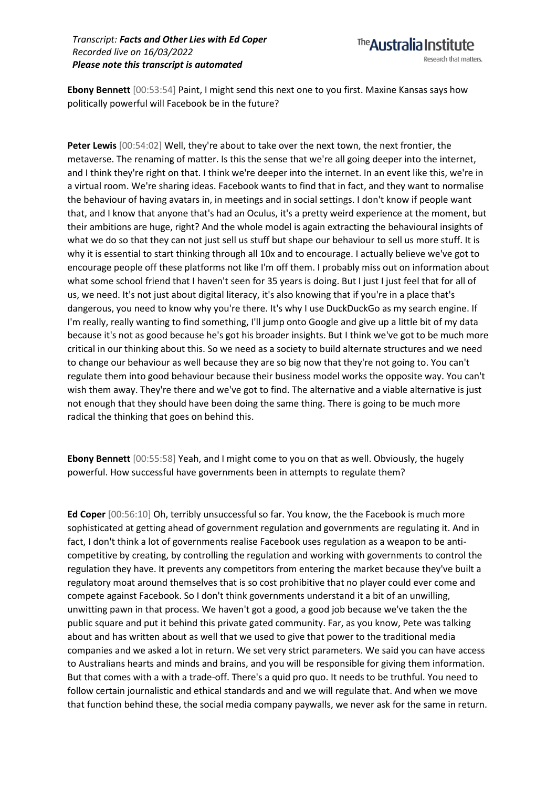**Ebony Bennett** [00:53:54] Paint, I might send this next one to you first. Maxine Kansas says how politically powerful will Facebook be in the future?

Peter Lewis  $[00:54:02]$  Well, they're about to take over the next town, the next frontier, the metaverse. The renaming of matter. Is this the sense that we're all going deeper into the internet, and I think they're right on that. I think we're deeper into the internet. In an event like this, we're in a virtual room. We're sharing ideas. Facebook wants to find that in fact, and they want to normalise the behaviour of having avatars in, in meetings and in social settings. I don't know if people want that, and I know that anyone that's had an Oculus, it's a pretty weird experience at the moment, but their ambitions are huge, right? And the whole model is again extracting the behavioural insights of what we do so that they can not just sell us stuff but shape our behaviour to sell us more stuff. It is why it is essential to start thinking through all 10x and to encourage. I actually believe we've got to encourage people off these platforms not like I'm off them. I probably miss out on information about what some school friend that I haven't seen for 35 years is doing. But I just I just feel that for all of us, we need. It's not just about digital literacy, it's also knowing that if you're in a place that's dangerous, you need to know why you're there. It's why I use DuckDuckGo as my search engine. If I'm really, really wanting to find something, I'll jump onto Google and give up a little bit of my data because it's not as good because he's got his broader insights. But I think we've got to be much more critical in our thinking about this. So we need as a society to build alternate structures and we need to change our behaviour as well because they are so big now that they're not going to. You can't regulate them into good behaviour because their business model works the opposite way. You can't wish them away. They're there and we've got to find. The alternative and a viable alternative is just not enough that they should have been doing the same thing. There is going to be much more radical the thinking that goes on behind this.

**Ebony Bennett** [00:55:58] Yeah, and I might come to you on that as well. Obviously, the hugely powerful. How successful have governments been in attempts to regulate them?

**Ed Coper** [00:56:10] Oh, terribly unsuccessful so far. You know, the the Facebook is much more sophisticated at getting ahead of government regulation and governments are regulating it. And in fact, I don't think a lot of governments realise Facebook uses regulation as a weapon to be anticompetitive by creating, by controlling the regulation and working with governments to control the regulation they have. It prevents any competitors from entering the market because they've built a regulatory moat around themselves that is so cost prohibitive that no player could ever come and compete against Facebook. So I don't think governments understand it a bit of an unwilling, unwitting pawn in that process. We haven't got a good, a good job because we've taken the the public square and put it behind this private gated community. Far, as you know, Pete was talking about and has written about as well that we used to give that power to the traditional media companies and we asked a lot in return. We set very strict parameters. We said you can have access to Australians hearts and minds and brains, and you will be responsible for giving them information. But that comes with a with a trade-off. There's a quid pro quo. It needs to be truthful. You need to follow certain journalistic and ethical standards and and we will regulate that. And when we move that function behind these, the social media company paywalls, we never ask for the same in return.